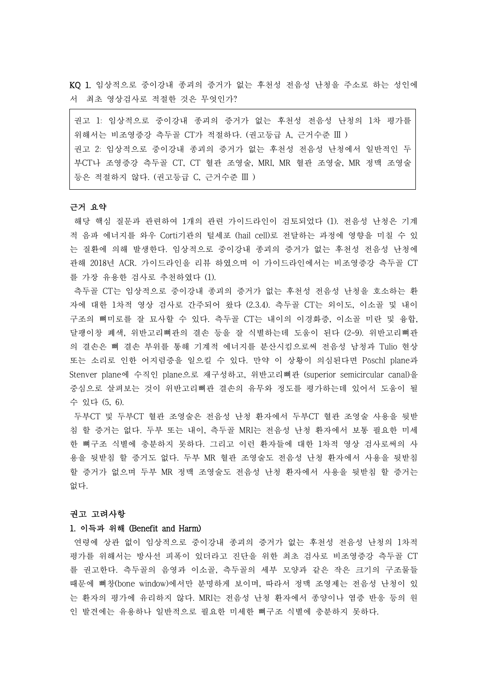KQ 1. 임상적으로 중이강내 종괴의 증거가 없는 후천성 전음성 난청을 주소로 하는 성인에 서 최초 영상검사로 적절한 것은 무엇인가?

권고 1: 임상적으로 중이강내 종괴의 증거가 없는 후천성 전음성 난청의 1차 평가를 위해서는 비조영증강 측두골 CT가 적절하다. (권고등급 A, 근거수준 III ) 권고 2: 임상적으로 중이강내 종괴의 증거가 없는 후천성 전음성 난청에서 일반적인 두 부CT나 조영증강 측두골 CT, CT 혈관 조영술, MRI, MR 혈관 조영술, MR 정맥 조영술 등은 적절하지 않다. (권고등급 C, 근거수준 III )

## 근거 요약

해당 핵심 질문과 관련하여 1개의 관련 가이드라인이 검토되었다 (1). 전음성 난청은 기계 적 음파 에너지를 와우 Corti기관의 털세포 (hail cell)로 전달하는 과정에 영향을 미칠 수 있 는 질환에 의해 발생한다. 임상적으로 중이강내 종괴의 증거가 없는 후천성 전음성 난청에 관해 2018년 ACR. 가이드라인을 리뷰 하였으며 이 가이드라인에서는 비조영증강 측두골 CT 를 가장 유용한 검사로 추천하였다 (1).

측두골 CT는 임상적으로 중이강내 종괴의 증거가 없는 후천성 전음성 난청을 호소하는 환 자에 대한 1차적 영상 검사로 간주되어 왔다 (2.3.4). 측두골 CT는 외이도, 이소골 및 내이 구조의 뼈미로를 잘 묘사할 수 있다. 측두골 CT는 내이의 이경화증, 이소골 미란 및 융합,<br>달팽이창 폐색. 위반고리뼈과의 결손 등을 잘 식별하는데 도움이 되다 (2-9). 위반고리뼈관 의 결손은 뼈 결손 부위를 통해 기계적 에너지를 분산시킴으로써 전음성 남청과 Tulio 현상 또는 소리로 인한 어지럼증을 일으킬 수 있다. 만약 이 상황이 의심된다면 Pöschl plane과 Stenver plane에 수직인 plane으로 재구성하고, 위반고리뼈관 (superior semicircular canal)을 중심으로 살펴보는 것이 위반고리뼈관 결손의 유무와 정도를 평가하는데 있어서 도움이 될 수 있다 (5, 6).

두부CT 및 두부CT 혈관 조영술은 전음성 난청 환자에서 두부CT 혈관 조영술 사용을 뒷받 침 할 증거는 없다. 두부 또는 내이, 측두골 MRI는 전음성 난청 환자에서 보통 필요한 미세 한 뼈구조 식별에 충분하지 못하다. 그리고 이런 환자들에 대한 1차적 영상 검사로써의 사 용을 뒷받침 할 증거도 없다. 두부 MR 혈관 조영술도 전음성 난청 환자에서 사용을 뒷받침 할 증거가 없으며 두부 MR 정맥 조영술도 전음성 난청 환자에서 사용을 뒷받침 할 증거는 없다.

#### 권고 고려사항

## 1. 이득과 위해 (Benefit and Harm)

연령에 상관 없이 임상적으로 중이강내 종괴의 증거가 없는 후천성 전음성 난청의 1차적 평가를 위해서는 방사선 피폭이 있더라고 진단을 위한 최초 검사로 비조영증강 측두골 CT 를 권고한다. 측두골의 음영과 이소골, 측두골의 세부 모양과 같은 작은 크기의 구조물들 때문에 뼈창(bone window)에서만 분명하게 보이며, 따라서 정맥 조영제는 전음성 난청이 있 는 환자의 평가에 유리하지 않다. MRI는 전음성 난청 환자에서 종양이나 염증 반응 등의 원 인 발견에는 유용하나 일반적으로 필요한 미세한 뼈구조 식별에 충분하지 못하다.